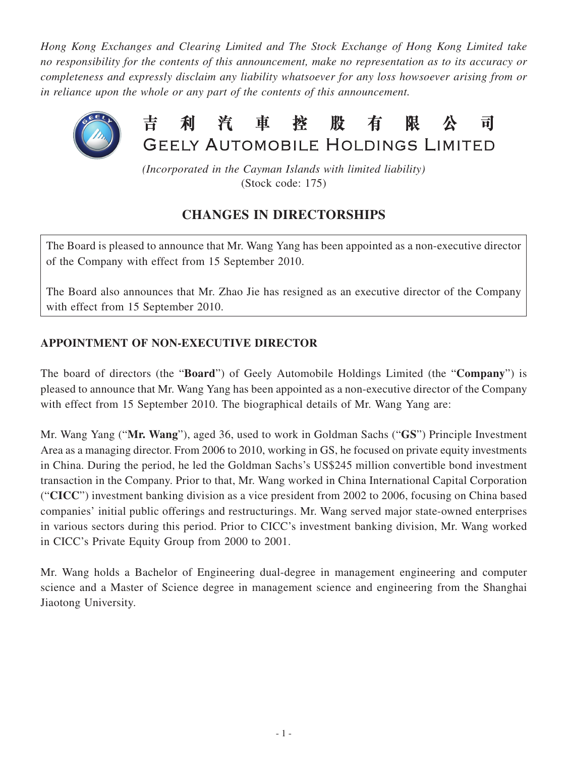*Hong Kong Exchanges and Clearing Limited and The Stock Exchange of Hong Kong Limited take no responsibility for the contents of this announcement, make no representation as to its accuracy or completeness and expressly disclaim any liability whatsoever for any loss howsoever arising from or in reliance upon the whole or any part of the contents of this announcement.*



*(Incorporated in the Cayman Islands with limited liability)* (Stock code: 175)

## **CHANGES IN DIRECTORSHIPS**

The Board is pleased to announce that Mr. Wang Yang has been appointed as a non-executive director of the Company with effect from 15 September 2010.

The Board also announces that Mr. Zhao Jie has resigned as an executive director of the Company with effect from 15 September 2010.

## **APPOINTMENT OF NON-EXECUTIVE DIRECTOR**

The board of directors (the "**Board**") of Geely Automobile Holdings Limited (the "**Company**") is pleased to announce that Mr. Wang Yang has been appointed as a non-executive director of the Company with effect from 15 September 2010. The biographical details of Mr. Wang Yang are:

Mr. Wang Yang ("**Mr. Wang**"), aged 36, used to work in Goldman Sachs ("**GS**") Principle Investment Area as a managing director. From 2006 to 2010, working in GS, he focused on private equity investments in China. During the period, he led the Goldman Sachs's US\$245 million convertible bond investment transaction in the Company. Prior to that, Mr. Wang worked in China International Capital Corporation ("**CICC**") investment banking division as a vice president from 2002 to 2006, focusing on China based companies' initial public offerings and restructurings. Mr. Wang served major state-owned enterprises in various sectors during this period. Prior to CICC's investment banking division, Mr. Wang worked in CICC's Private Equity Group from 2000 to 2001.

Mr. Wang holds a Bachelor of Engineering dual-degree in management engineering and computer science and a Master of Science degree in management science and engineering from the Shanghai Jiaotong University.